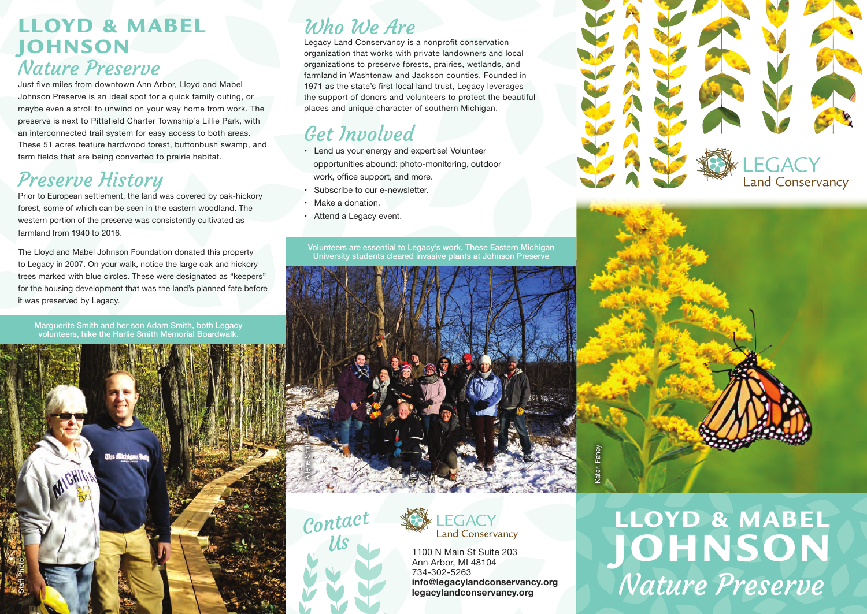## LLOYD & MABEL **JOHNSON** Nature Preserve

Just five miles from downtown Ann Arbor, Lloyd and Mabel Johnson Preserve is an ideal spot for a quick family outing, or maybe even a stroll to unwind on your way home from work. The preserve is next to Pittsfield Charter Township's Lillie Park, with an interconnected trail system for easy access to both areas. These 51 acres feature hardwood forest, buttonbush swamp, and farm fields that are being converted to prairie habitat.

# Preserve History

Prior to European settlement, the land was covered by oak-hickory forest, some of which can be seen in the eastern woodland. The western portion of the preserve was consistently cultivated as farmland from 1940 to 2016.

The Lloyd and Mabel Johnson Foundation donated this property to Legacy in 2007. On your walk, notice the large oak and hickory trees marked with blue circles. These were designated as "keepers" for the housing development that was the land's planned fate before it was preserved by Legacy.

Marguerite Smith and her son Adam Smith, both Legacy volunteers, hike the Harlie Smith Memorial Boardwalk.



# Who We Are

Legacy Land Conservancy is a nonprofit conservation organization that works with private landowners and local organizations to preserve forests, prairies, wetlands, and farmland in Washtenaw and Jackson counties. Founded in 1971 as the state's first local land trust, Legacy leverages the support of donors and volunteers to protect the beautiful places and unique character of southern Michigan.

## Get Involved

- Lend us your energy and expertise! Volunteer opportunities abound: photo-monitoring, outdoor
- work, office support, and more.
- Subscribe to our e-newsletter.
- Make a donation.
- Attend a Legacy event.

Volunteers are essential to Legacy's work. These Eastern Michigan University students cleared invasive plants at Johnson Preserve







Ann Arbor, MI 48104 734-302-5263 **info@legacylandconservancy.org legacylandconservancy.org**





LLOYD & MABEL JOHNSON Nature Preserve